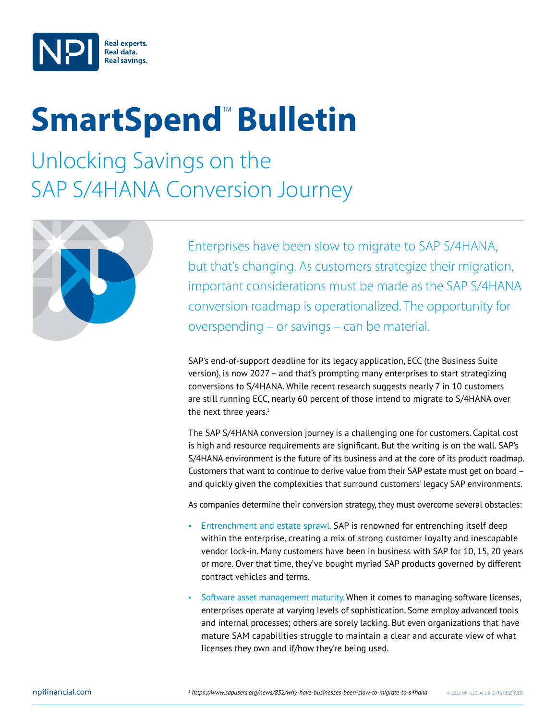

## **SmartSpend<sup>™</sup> Bulletin**

Unlocking Savings on the SAP S/4HANA Conversion Journey



Enterprises have been slow to migrate to SAP S/4HANA, but that's changing. As customers strategize their migration, important considerations must be made as the SAP S/4HANA conversion roadmap is operationalized. The opportunity for overspending – or savings – can be material.

SAP's end-of-support deadline for its legacy application, ECC (the Business Suite version), is now 2027 – and that's prompting many enterprises to start strategizing conversions to S/4HANA. While recent research suggests nearly 7 in 10 customers are still running ECC, nearly 60 percent of those intend to migrate to S/4HANA over the next three years. $1$ 

The SAP S/4HANA conversion journey is a challenging one for customers. Capital cost is high and resource requirements are significant. But the writing is on the wall. SAP's S/4HANA environment is the future of its business and at the core of its product roadmap. Customers that want to continue to derive value from their SAP estate must get on board – and quickly given the complexities that surround customers' legacy SAP environments.

As companies determine their conversion strategy, they must overcome several obstacles:

- Entrenchment and estate sprawl. SAP is renowned for entrenching itself deep within the enterprise, creating a mix of strong customer loyalty and inescapable vendor lock-in. Many customers have been in business with SAP for 10, 15, 20 years or more. Over that time, they've bought myriad SAP products governed by different contract vehicles and terms.
- Software asset management maturity. When it comes to managing software licenses, enterprises operate at varying levels of sophistication. Some employ advanced tools and internal processes; others are sorely lacking. But even organizations that have mature SAM capabilities struggle to maintain a clear and accurate view of what licenses they own and if/how they're being used.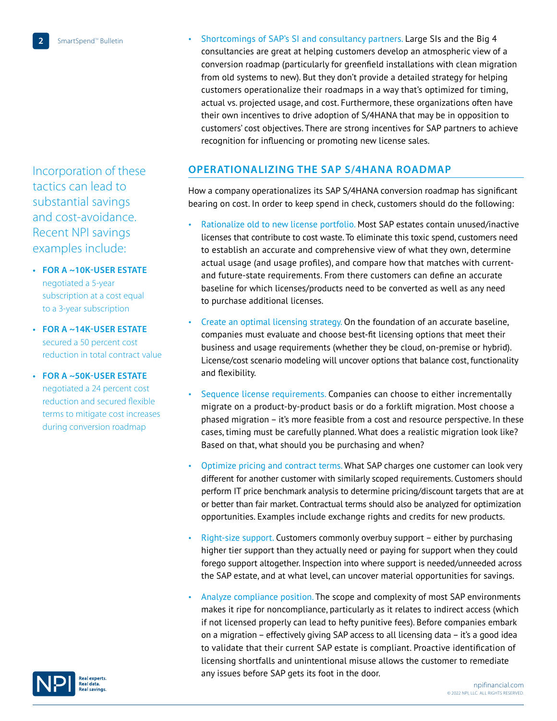Incorporation of these tactics can lead to substantial savings and cost-avoidance. Recent NPI savings examples include:

**• For a ~10k-user estate** negotiated a 5-year subscription at a cost equal to a 3-year subscription

- **• For a ~14k-user estate** secured a 50 percent cost reduction in total contract value
- **• For a ~50k-user estate** negotiated a 24 percent cost reduction and secured flexible terms to mitigate cost increases during conversion roadmap

• Shortcomings of SAP's SI and consultancy partners. Large SIs and the Big 4 consultancies are great at helping customers develop an atmospheric view of a conversion roadmap (particularly for greenfield installations with clean migration from old systems to new). But they don't provide a detailed strategy for helping customers operationalize their roadmaps in a way that's optimized for timing, actual vs. projected usage, and cost. Furthermore, these organizations often have their own incentives to drive adoption of S/4HANA that may be in opposition to customers' cost objectives. There are strong incentives for SAP partners to achieve recognition for influencing or promoting new license sales.

## **Operationalizing the SAP S/4HANA Roadmap**

How a company operationalizes its SAP S/4HANA conversion roadmap has significant bearing on cost. In order to keep spend in check, customers should do the following:

- Rationalize old to new license portfolio. Most SAP estates contain unused/inactive licenses that contribute to cost waste. To eliminate this toxic spend, customers need to establish an accurate and comprehensive view of what they own, determine actual usage (and usage profiles), and compare how that matches with currentand future-state requirements. From there customers can define an accurate baseline for which licenses/products need to be converted as well as any need to purchase additional licenses.
- Create an optimal licensing strategy. On the foundation of an accurate baseline, companies must evaluate and choose best-fit licensing options that meet their business and usage requirements (whether they be cloud, on-premise or hybrid). License/cost scenario modeling will uncover options that balance cost, functionality and flexibility.
- Sequence license requirements. Companies can choose to either incrementally migrate on a product-by-product basis or do a forklift migration. Most choose a phased migration – it's more feasible from a cost and resource perspective. In these cases, timing must be carefully planned. What does a realistic migration look like? Based on that, what should you be purchasing and when?
- Optimize pricing and contract terms. What SAP charges one customer can look very different for another customer with similarly scoped requirements. Customers should perform IT price benchmark analysis to determine pricing/discount targets that are at or better than fair market. Contractual terms should also be analyzed for optimization opportunities. Examples include exchange rights and credits for new products.
- Right-size support. Customers commonly overbuy support either by purchasing higher tier support than they actually need or paying for support when they could forego support altogether. Inspection into where support is needed/unneeded across the SAP estate, and at what level, can uncover material opportunities for savings.
- Analyze compliance position. The scope and complexity of most SAP environments makes it ripe for noncompliance, particularly as it relates to indirect access (which if not licensed properly can lead to hefty punitive fees). Before companies embark on a migration – effectively giving SAP access to all licensing data – it's a good idea to validate that their current SAP estate is compliant. Proactive identification of licensing shortfalls and unintentional misuse allows the customer to remediate any issues before SAP gets its foot in the door.